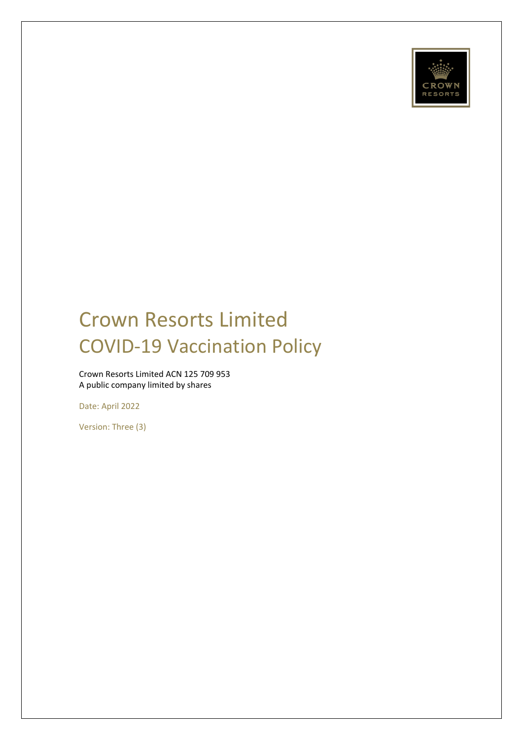

# Crown Resorts Limited COVID-19 Vaccination Policy

Crown Resorts Limited ACN 125 709 953 A public company limited by shares

Date: April 2022

Version: Three (3)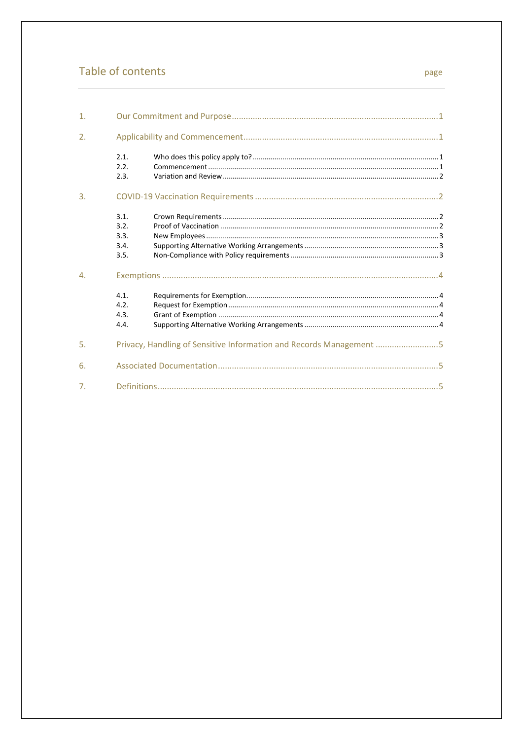# Table of contents

| $\mathbf{1}$ .   |                                      |                                                                     |
|------------------|--------------------------------------|---------------------------------------------------------------------|
| 2.               |                                      |                                                                     |
|                  | 2.1.<br>2.2.<br>2.3.                 |                                                                     |
| 3.               |                                      |                                                                     |
|                  | 3.1.<br>3.2.<br>3.3.<br>3.4.<br>3.5. |                                                                     |
| $\overline{4}$ . |                                      |                                                                     |
|                  | 4.1.<br>4.2.<br>4.3.<br>4.4.         |                                                                     |
| 5.               |                                      | Privacy, Handling of Sensitive Information and Records Management 5 |
| 6.               |                                      |                                                                     |
| 7 <sub>1</sub>   |                                      |                                                                     |

#### page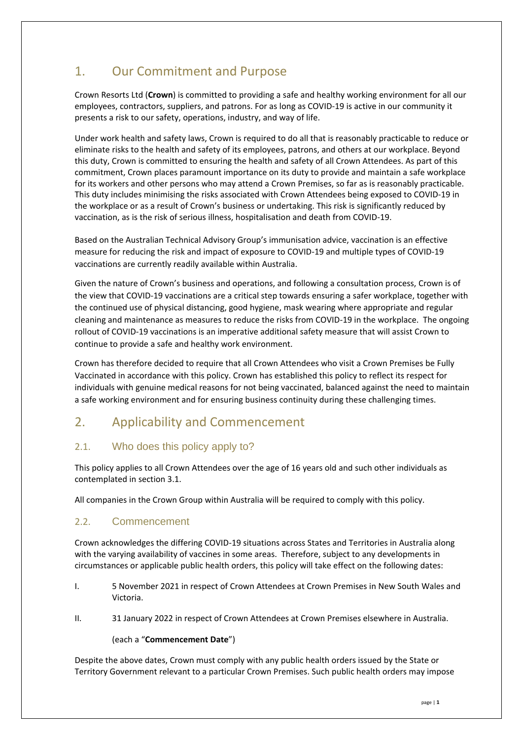# <span id="page-2-0"></span>1. Our Commitment and Purpose

Crown Resorts Ltd (**Crown**) is committed to providing a safe and healthy working environment for all our employees, contractors, suppliers, and patrons. For as long as COVID-19 is active in our community it presents a risk to our safety, operations, industry, and way of life.

Under work health and safety laws, Crown is required to do all that is reasonably practicable to reduce or eliminate risks to the health and safety of its employees, patrons, and others at our workplace. Beyond this duty, Crown is committed to ensuring the health and safety of all Crown Attendees. As part of this commitment, Crown places paramount importance on its duty to provide and maintain a safe workplace for its workers and other persons who may attend a Crown Premises, so far as is reasonably practicable. This duty includes minimising the risks associated with Crown Attendees being exposed to COVID-19 in the workplace or as a result of Crown's business or undertaking. This risk is significantly reduced by vaccination, as is the risk of serious illness, hospitalisation and death from COVID-19.

Based on the Australian Technical Advisory Group's immunisation advice, vaccination is an effective measure for reducing the risk and impact of exposure to COVID-19 and multiple types of COVID-19 vaccinations are currently readily available within Australia.

Given the nature of Crown's business and operations, and following a consultation process, Crown is of the view that COVID-19 vaccinations are a critical step towards ensuring a safer workplace, together with the continued use of physical distancing, good hygiene, mask wearing where appropriate and regular cleaning and maintenance as measures to reduce the risks from COVID-19 in the workplace. The ongoing rollout of COVID-19 vaccinations is an imperative additional safety measure that will assist Crown to continue to provide a safe and healthy work environment.

Crown has therefore decided to require that all Crown Attendees who visit a Crown Premises be Fully Vaccinated in accordance with this policy. Crown has established this policy to reflect its respect for individuals with genuine medical reasons for not being vaccinated, balanced against the need to maintain a safe working environment and for ensuring business continuity during these challenging times.

# <span id="page-2-1"></span>2. Applicability and Commencement

# <span id="page-2-2"></span>2.1. Who does this policy apply to?

This policy applies to all Crown Attendees over the age of 16 years old and such other individuals as contemplated in section 3.1.

All companies in the Crown Group within Australia will be required to comply with this policy.

# <span id="page-2-3"></span>2.2. Commencement

Crown acknowledges the differing COVID-19 situations across States and Territories in Australia along with the varying availability of vaccines in some areas. Therefore, subject to any developments in circumstances or applicable public health orders, this policy will take effect on the following dates:

- I. 5 November 2021 in respect of Crown Attendees at Crown Premises in New South Wales and Victoria.
- II. 31 January 2022 in respect of Crown Attendees at Crown Premises elsewhere in Australia.

### (each a "**Commencement Date**")

Despite the above dates, Crown must comply with any public health orders issued by the State or Territory Government relevant to a particular Crown Premises. Such public health orders may impose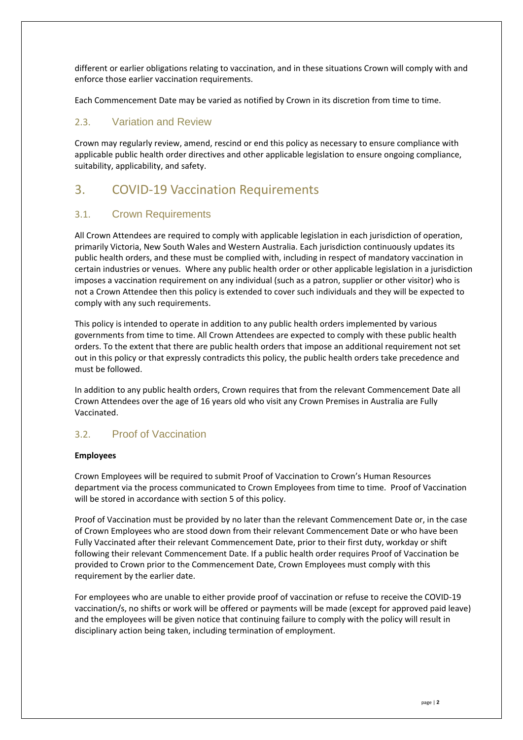different or earlier obligations relating to vaccination, and in these situations Crown will comply with and enforce those earlier vaccination requirements.

Each Commencement Date may be varied as notified by Crown in its discretion from time to time.

#### <span id="page-3-0"></span>2.3. Variation and Review

Crown may regularly review, amend, rescind or end this policy as necessary to ensure compliance with applicable public health order directives and other applicable legislation to ensure ongoing compliance, suitability, applicability, and safety.

# <span id="page-3-1"></span>3. COVID-19 Vaccination Requirements

### <span id="page-3-2"></span>3.1. Crown Requirements

All Crown Attendees are required to comply with applicable legislation in each jurisdiction of operation, primarily Victoria, New South Wales and Western Australia. Each jurisdiction continuously updates its public health orders, and these must be complied with, including in respect of mandatory vaccination in certain industries or venues. Where any public health order or other applicable legislation in a jurisdiction imposes a vaccination requirement on any individual (such as a patron, supplier or other visitor) who is not a Crown Attendee then this policy is extended to cover such individuals and they will be expected to comply with any such requirements.

This policy is intended to operate in addition to any public health orders implemented by various governments from time to time. All Crown Attendees are expected to comply with these public health orders. To the extent that there are public health orders that impose an additional requirement not set out in this policy or that expressly contradicts this policy, the public health orders take precedence and must be followed.

In addition to any public health orders, Crown requires that from the relevant Commencement Date all Crown Attendees over the age of 16 years old who visit any Crown Premises in Australia are Fully Vaccinated.

### <span id="page-3-3"></span>3.2. Proof of Vaccination

#### **Employees**

Crown Employees will be required to submit Proof of Vaccination to Crown's Human Resources department via the process communicated to Crown Employees from time to time. Proof of Vaccination will be stored in accordance with section 5 of this policy.

Proof of Vaccination must be provided by no later than the relevant Commencement Date or, in the case of Crown Employees who are stood down from their relevant Commencement Date or who have been Fully Vaccinated after their relevant Commencement Date, prior to their first duty, workday or shift following their relevant Commencement Date. If a public health order requires Proof of Vaccination be provided to Crown prior to the Commencement Date, Crown Employees must comply with this requirement by the earlier date.

For employees who are unable to either provide proof of vaccination or refuse to receive the COVID-19 vaccination/s, no shifts or work will be offered or payments will be made (except for approved paid leave) and the employees will be given notice that continuing failure to comply with the policy will result in disciplinary action being taken, including termination of employment.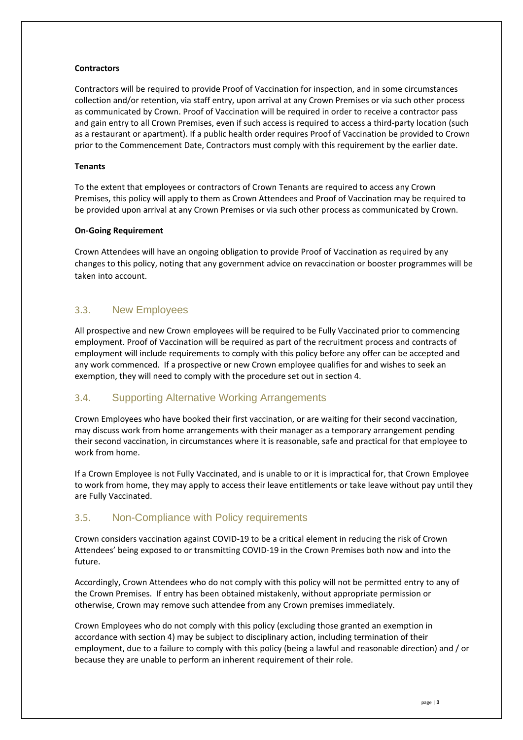#### **Contractors**

Contractors will be required to provide Proof of Vaccination for inspection, and in some circumstances collection and/or retention, via staff entry, upon arrival at any Crown Premises or via such other process as communicated by Crown. Proof of Vaccination will be required in order to receive a contractor pass and gain entry to all Crown Premises, even if such access is required to access a third-party location (such as a restaurant or apartment). If a public health order requires Proof of Vaccination be provided to Crown prior to the Commencement Date, Contractors must comply with this requirement by the earlier date.

#### **Tenants**

To the extent that employees or contractors of Crown Tenants are required to access any Crown Premises, this policy will apply to them as Crown Attendees and Proof of Vaccination may be required to be provided upon arrival at any Crown Premises or via such other process as communicated by Crown.

#### **On-Going Requirement**

Crown Attendees will have an ongoing obligation to provide Proof of Vaccination as required by any changes to this policy, noting that any government advice on revaccination or booster programmes will be taken into account.

### <span id="page-4-0"></span>3.3. New Employees

All prospective and new Crown employees will be required to be Fully Vaccinated prior to commencing employment. Proof of Vaccination will be required as part of the recruitment process and contracts of employment will include requirements to comply with this policy before any offer can be accepted and any work commenced. If a prospective or new Crown employee qualifies for and wishes to seek an exemption, they will need to comply with the procedure set out in section 4.

### <span id="page-4-1"></span>3.4. Supporting Alternative Working Arrangements

Crown Employees who have booked their first vaccination, or are waiting for their second vaccination, may discuss work from home arrangements with their manager as a temporary arrangement pending their second vaccination, in circumstances where it is reasonable, safe and practical for that employee to work from home.

If a Crown Employee is not Fully Vaccinated, and is unable to or it is impractical for, that Crown Employee to work from home, they may apply to access their leave entitlements or take leave without pay until they are Fully Vaccinated.

### <span id="page-4-2"></span>3.5. Non-Compliance with Policy requirements

Crown considers vaccination against COVID-19 to be a critical element in reducing the risk of Crown Attendees' being exposed to or transmitting COVID-19 in the Crown Premises both now and into the future.

Accordingly, Crown Attendees who do not comply with this policy will not be permitted entry to any of the Crown Premises. If entry has been obtained mistakenly, without appropriate permission or otherwise, Crown may remove such attendee from any Crown premises immediately.

Crown Employees who do not comply with this policy (excluding those granted an exemption in accordance with section 4) may be subject to disciplinary action, including termination of their employment, due to a failure to comply with this policy (being a lawful and reasonable direction) and / or because they are unable to perform an inherent requirement of their role.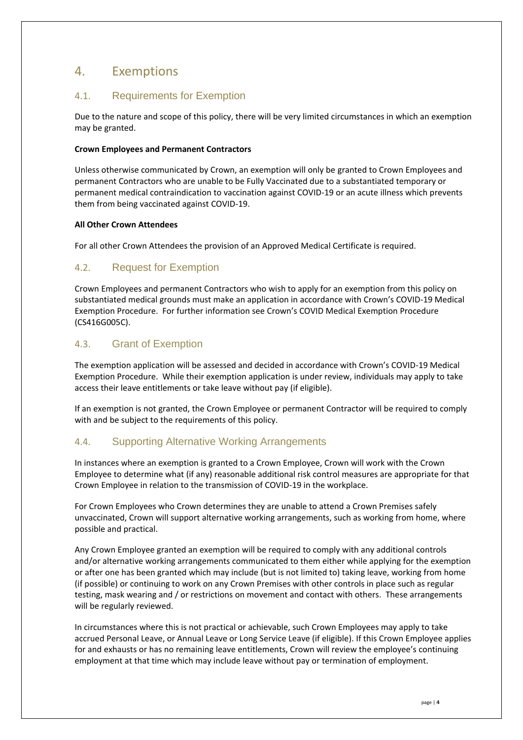# <span id="page-5-0"></span>4. Exemptions

# <span id="page-5-1"></span>4.1. Requirements for Exemption

Due to the nature and scope of this policy, there will be very limited circumstances in which an exemption may be granted.

#### **Crown Employees and Permanent Contractors**

Unless otherwise communicated by Crown, an exemption will only be granted to Crown Employees and permanent Contractors who are unable to be Fully Vaccinated due to a substantiated temporary or permanent medical contraindication to vaccination against COVID-19 or an acute illness which prevents them from being vaccinated against COVID-19.

#### **All Other Crown Attendees**

For all other Crown Attendees the provision of an Approved Medical Certificate is required.

### <span id="page-5-2"></span>4.2. Request for Exemption

Crown Employees and permanent Contractors who wish to apply for an exemption from this policy on substantiated medical grounds must make an application in accordance with Crown's COVID-19 Medical Exemption Procedure. For further information see Crown's COVID Medical Exemption Procedure (CS416G005C).

### <span id="page-5-3"></span>4.3. Grant of Exemption

The exemption application will be assessed and decided in accordance with Crown's COVID-19 Medical Exemption Procedure. While their exemption application is under review, individuals may apply to take access their leave entitlements or take leave without pay (if eligible).

If an exemption is not granted, the Crown Employee or permanent Contractor will be required to comply with and be subject to the requirements of this policy.

# <span id="page-5-4"></span>4.4. Supporting Alternative Working Arrangements

In instances where an exemption is granted to a Crown Employee, Crown will work with the Crown Employee to determine what (if any) reasonable additional risk control measures are appropriate for that Crown Employee in relation to the transmission of COVID-19 in the workplace.

For Crown Employees who Crown determines they are unable to attend a Crown Premises safely unvaccinated, Crown will support alternative working arrangements, such as working from home, where possible and practical.

Any Crown Employee granted an exemption will be required to comply with any additional controls and/or alternative working arrangements communicated to them either while applying for the exemption or after one has been granted which may include (but is not limited to) taking leave, working from home (if possible) or continuing to work on any Crown Premises with other controls in place such as regular testing, mask wearing and / or restrictions on movement and contact with others. These arrangements will be regularly reviewed.

In circumstances where this is not practical or achievable, such Crown Employees may apply to take accrued Personal Leave, or Annual Leave or Long Service Leave (if eligible). If this Crown Employee applies for and exhausts or has no remaining leave entitlements, Crown will review the employee's continuing employment at that time which may include leave without pay or termination of employment.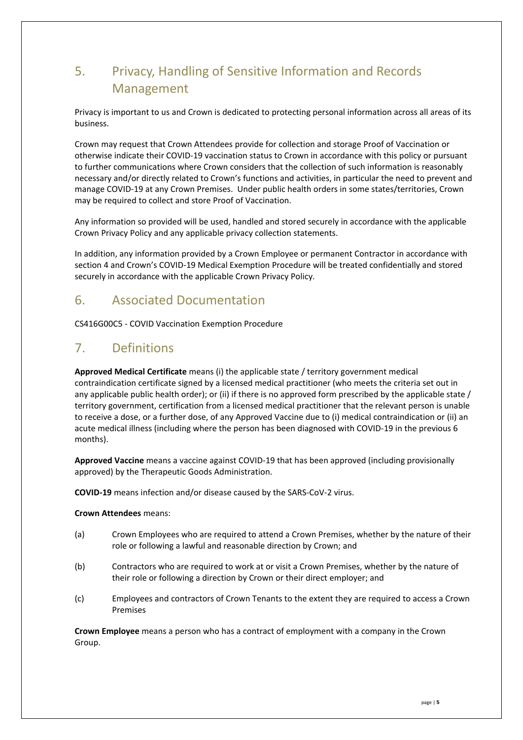# <span id="page-6-0"></span>5. Privacy, Handling of Sensitive Information and Records Management

Privacy is important to us and Crown is dedicated to protecting personal information across all areas of its business.

Crown may request that Crown Attendees provide for collection and storage Proof of Vaccination or otherwise indicate their COVID-19 vaccination status to Crown in accordance with this policy or pursuant to further communications where Crown considers that the collection of such information is reasonably necessary and/or directly related to Crown's functions and activities, in particular the need to prevent and manage COVID-19 at any Crown Premises. Under public health orders in some states/territories, Crown may be required to collect and store Proof of Vaccination.

Any information so provided will be used, handled and stored securely in accordance with the applicable Crown Privacy Policy and any applicable privacy collection statements.

In addition, any information provided by a Crown Employee or permanent Contractor in accordance with section 4 and Crown's COVID-19 Medical Exemption Procedure will be treated confidentially and stored securely in accordance with the applicable Crown Privacy Policy.

# <span id="page-6-1"></span>6. Associated Documentation

CS416G00C5 - COVID Vaccination Exemption Procedure

# <span id="page-6-2"></span>7. Definitions

**Approved Medical Certificate** means (i) the applicable state / territory government medical contraindication certificate signed by a licensed medical practitioner (who meets the criteria set out in any applicable public health order); or (ii) if there is no approved form prescribed by the applicable state / territory government, certification from a licensed medical practitioner that the relevant person is unable to receive a dose, or a further dose, of any Approved Vaccine due to (i) medical contraindication or (ii) an acute medical illness (including where the person has been diagnosed with COVID-19 in the previous 6 months).

**Approved Vaccine** means a vaccine against COVID-19 that has been approved (including provisionally approved) by the Therapeutic Goods Administration.

**COVID-19** means infection and/or disease caused by the SARS-CoV-2 virus.

#### **Crown Attendees** means:

- (a) Crown Employees who are required to attend a Crown Premises, whether by the nature of their role or following a lawful and reasonable direction by Crown; and
- (b) Contractors who are required to work at or visit a Crown Premises, whether by the nature of their role or following a direction by Crown or their direct employer; and
- (c) Employees and contractors of Crown Tenants to the extent they are required to access a Crown Premises

**Crown Employee** means a person who has a contract of employment with a company in the Crown Group.